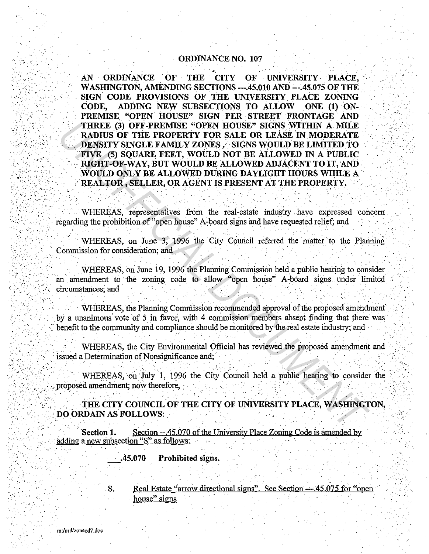## **ORDINANCE NO. 107**

**ORDINANCE** OF THE CITY OF UNIVERSITY PLACE.  $AN -$ WASHINGTON, AMENDING SECTIONS ---.45.010 AND ---.45.075 OF THE SIGN CODE PROVISIONS OF THE UNIVERSITY PLACE ZONING CODE. ADDING NEW SUBSECTIONS TO ALLOW ONE (1) ON-PREMISE "OPEN HOUSE" SIGN PER STREET FRONTAGE AND THREE (3) OFF-PREMISE "OPEN HOUSE" SIGNS WITHIN A MILE RADIUS OF THE PROPERTY FOR SALE OR LEASE IN MODERATE DENSITY SINGLE FAMILY ZONES . SIGNS WOULD BE LIMITED TO FIVE (5) SOUARE FEET, WOULD NOT BE ALLOWED IN A PUBLIC RIGHT-OF-WAY, BUT WOULD BE ALLOWED ADJACENT TO IT, AND WOULD ONLY BE ALLOWED DURING DAYLIGHT HOURS WHILE A REALTOR, SELLER, OR AGENT IS PRESENT AT THE PROPERTY.

WHEREAS, representatives from the real-estate industry have expressed concern regarding the prohibition of "open house" A-board signs and have requested relief; and

WHEREAS, on June 3, 1996 the City Council referred the matter to the Planning Commission for consideration; and

WHEREAS, on June 19, 1996 the Planning Commission held a public hearing to consider an amendment to the zoning code to allow "open house" A-board signs under limited circumstances; and

WHEREAS, the Planning Commission recommended approval of the proposed amendment by a unanimous vote of 5 in favor, with 4 commission members absent finding that there was benefit to the community and compliance should be monitored by the real estate industry; and

WHEREAS, the City Environmental Official has reviewed the proposed amendment and issued a Determination of Nonsignificance and;

WHEREAS, on July 1, 1996 the City Council held a public hearing to consider the proposed amendment; now therefore,

THE CITY COUNCIL OF THE CITY OF UNIVERSITY PLACE, WASHINGTON, **DO ORDAIN AS FOLLOWS:** 

Section -- 45.070 of the University Place Zoning Code is amended by Section 1. adding a new subsection "S" as follows:

> .45.070 Prohibited signs.

Real Estate "arrow directional signs". See Section --- 45.075 for "open house" signs

S.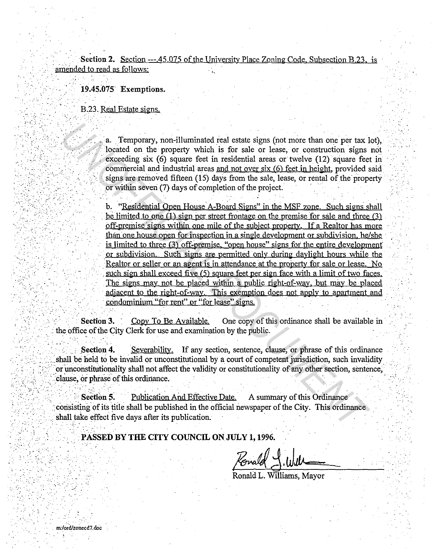Section 2. Section ---.45.075 of the University Place Zoning Code. Subsection B.23. is amended to read as follows:

l9.4s;o75 Exemptions .

B.23. Real Estate signs.

 $\mathcal{L} \rightarrow \mathcal{L}$ 

 $\mathbb{R}^3$ 

 $\ldots$  .

.. ,·

 $\mathcal{F}_i$  .  $\mathcal{F}_i$  .

•.:

 $\mathcal{L}(\mathcal{Q})$  . For all  $\mathcal{L}(\mathcal{Q})$  $\sim$ 

 $\mathcal{L}^{\text{max}}$ 

•;.' ..

a. Temporary, non-illuminated real estate signs (not more than one per tax lot), located on the property which is for sale or lease, or construction signs not exceeding six  $(6)$  square feet in residential areas or twelve  $(12)$  square feet in commercial and industrial areas and not over six  $(6)$  feet in height, provided said signs are removed fifteen (15) days from the sale, lease, or rental of the property or within seven (7) days of completion of the project.

b. "Residential Open House A-Board Signs" in the MSF zone. Such signs shall be limited to one  $(1)$  sign per street frontage on the premise for sale and three  $(3)$ off-premise signs within one mile of the subject property. If a Realtor has more than one house open for inspection in a single development or subdivision. he/she is limited to three (3) off-premise. "open house" signs for the entire development or subdivision. Such signs ate permitted· only during daylight hours while the . Realtor or seller or an agent is in attendance at the property for sale or lease. No such sign shall exceed five  $(5)$  square feet per sign face with a limit of two faces. The signs may not be placed within a public right-of-way. but may be placed adjacent to the right-of-way. This exemption does not apply to apartment and . condominium "for rent" or "for lease" signs. **a.** Temporary, non-illuminated real estate signs (not more than one per tax located on the property which is for sale or lease, or construction signs exceeding six (6) square feet in residential areas or twelve (12) squar

Section 3. Copy To Be Available. One copy of this ordinance shall be available in the office of the City Clerk for use and examination by the public.

Section 4. Severability. If any section, sentence, clause, or phrase of this ordinance shall be held to be invalid or unconstitutional by a court of competent jurisdiction, such invalidity or unconstitutionality shall not affect the validity or constitutionality of any other section, sentence, clause, or phrase of this ordinance.

**Section 5.** ... ... Publication And Effective Date. A summary of this Ordinance consisting of its title shall be published in the official newspaper of the City. This ordinance shall take effect five days after its publication.

PASSED BY THE CITY COUNCIL ON JULY 1, 1996.

Ronald -

Ronald L. Williams, Mayor

 $\mathcal{L}^{\mathcal{L}}$ 

 $\cdots$  .